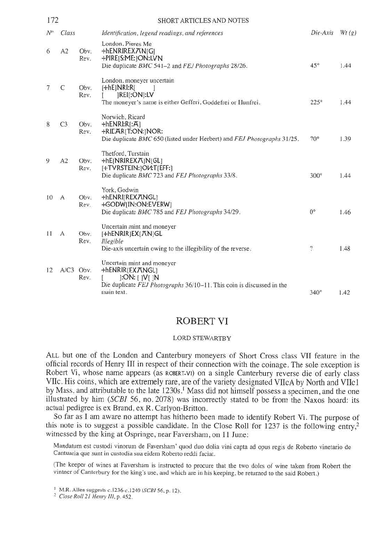| 172   |              |              | <b>SHORT ARTICLES AND NOTES</b>                                                                                                                     |                  |       |
|-------|--------------|--------------|-----------------------------------------------------------------------------------------------------------------------------------------------------|------------------|-------|
| $N^o$ | Class        |              | Identification, legend readings, and references                                                                                                     | Die-Axis         | Wt(g) |
| 6     | A2           | Obv.<br>Rev. | London, Pieres Me<br>+hENRIREX/TN[G]<br>+PIRE[S:ME:]ON:LVN<br>Die duplicate BMC 541-2 and FEJ Photographs 28/26.                                    | $45^\circ$       | 1.44  |
| 7     | C            | Obv.<br>Rev. | London, moneyer uncertain<br>$[+hE]NRI:R[$<br>[REI[:ON]:LV<br>The moneyer's name is either Gefferi, Goddefrei or Hunfrei.                           | $225^\circ$      | 1.44  |
| 8     | C3           | Obv.<br>Rev. | Norwich, Ricard<br>$+hENRI:R[:A]$<br>+RIEAR[T:ON:]NOR:<br>Die duplicate BMC 650 (listed under Herbert) and FEJ Photographs 31/25.                   | $70^\circ$       | 1.39  |
| 9     | A2           | Oby.<br>Rev. | Thetford, Turstain<br>+hE[NRIREXA]N[GL]<br>[+TVRSTEIN:]OV:T[EFF:]<br>Die duplicate BMC 723 and FEJ Photographs 33/8.                                | $300^\circ$      | 1.44  |
| 10    | $\mathbf{A}$ | Oby.<br>Rev. | York, Godwin<br>+hENRI[REX ANGL]<br>+GODW[IN:ON:EVERW]<br>Die duplicate BMC 785 and FEJ Photographs 34/29.                                          | $0^{\circ}$      | 1.46  |
| Ħ     | $\mathbf{A}$ | Obv.<br>Rev. | Uncertain mint and moneyer<br>[+hENRIR]EX[AN]GL<br>Illegible<br>Die-axis uncertain owing to the illegibility of the reverse,                        | $\boldsymbol{v}$ | 1.48  |
| 12    | A/C3 Obv.    | Rev.         | Uncertain mint and moneyer<br>+hENRIR[EXANGL]<br> :ON:[]V[]N<br>Die duplicate FEJ Photographs 36/10–11. This coin is discussed in the<br>main text. | $340^\circ$      | 1.42  |

## ROBERT VI

## LORD STEWARTBY

ALL but one of the London and Canterbury moneyers of Short Cross class VII feature in the official records of Henry III in respect of their connection with the coinage. The sole exception is Robert Vi, whose name appears (as ROBERT.VI) on a single Canterbury reverse die of early class VIIc. His coins, which are extremely rare, are of the variety designated VIIcA by North and VIIcl by Mass, and attributable to the late 1230s.<sup>1</sup> Mass did not himself possess a specimen, and the one illustrated by him (*SCBI* 56, no. 2078) was incorrectly stated to be from the Naxos hoard: its actual pedigree is ex Bra

So far as I am aware no attempt has hitherto been made to identify Robert Vi. The purpose of this note is to suggest a possible candidate. In the Close Roll for 1237 is the following entry,<sup>2</sup> witnessed by the king at Ospringe, near Faversham, on 11 June:

Mandatum est custodi vinorum de Faversham' quod duo dolia vini capta ad opus regis de Roberto vinetario de

(The keeper of wines at Faversham is instructed to procure that the two doles of wine taken from Robert the vintner of Canterbury for the king's use, and which are in his keeping, be returned to the said Robert.)

<sup>&</sup>lt;sup>1</sup> M.R. Allen suggests c.1236-c.1240 (SCBI 56, p. 12).<br><sup>2</sup> Close Roll 21 Henry III, p. 452.